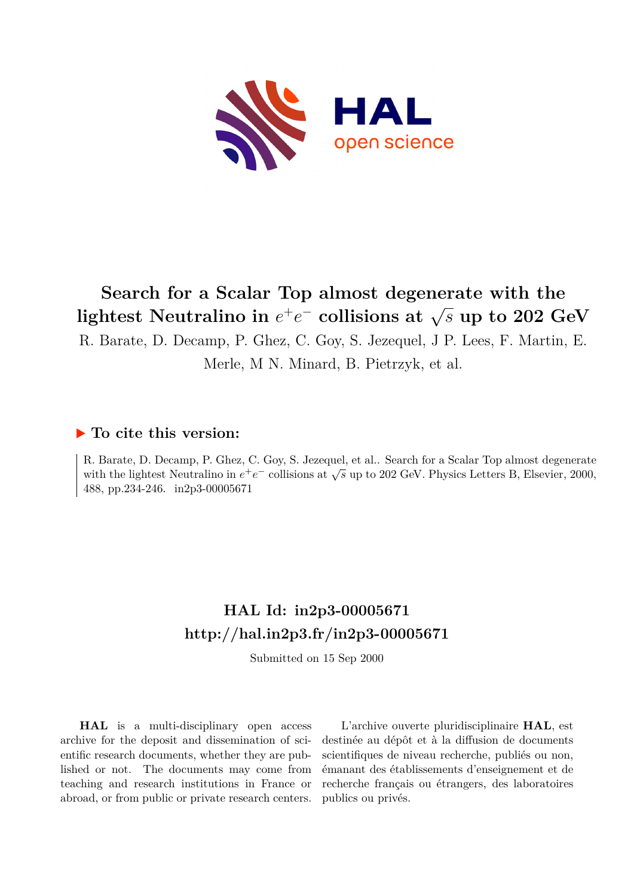

# **Search for a Scalar Top almost degenerate with the**  $\int$  **lightest Neutralino in**  $e^+e^-$  collisions at  $\sqrt{s}$  up to 202 GeV

R. Barate, D. Decamp, P. Ghez, C. Goy, S. Jezequel, J P. Lees, F. Martin, E.

Merle, M N. Minard, B. Pietrzyk, et al.

#### **To cite this version:**

R. Barate, D. Decamp, P. Ghez, C. Goy, S. Jezequel, et al.. Search for a Scalar Top almost degenerate with the lightest Neutralino in  $e^+e^-$  collisions at  $\sqrt{s}$  up to 202 GeV. Physics Letters B, Elsevier, 2000, 488, pp.234-246. in2p3-00005671

## **HAL Id: in2p3-00005671 <http://hal.in2p3.fr/in2p3-00005671>**

Submitted on 15 Sep 2000

**HAL** is a multi-disciplinary open access archive for the deposit and dissemination of scientific research documents, whether they are published or not. The documents may come from teaching and research institutions in France or abroad, or from public or private research centers.

L'archive ouverte pluridisciplinaire **HAL**, est destinée au dépôt et à la diffusion de documents scientifiques de niveau recherche, publiés ou non, émanant des établissements d'enseignement et de recherche français ou étrangers, des laboratoires publics ou privés.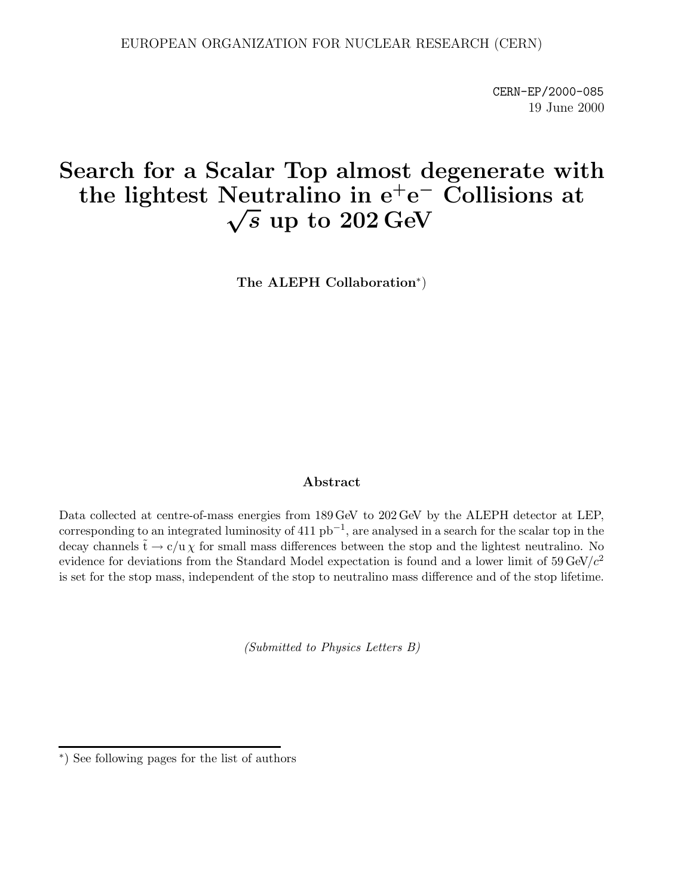CERN-EP/2000-085 19 June 2000

## **Search for a Scalar Top almost degenerate with** the lightest Neutralino in  $e^+e^-$  Collisions at  $\sqrt{s}$  up to  $202 \text{ GeV}$

**The ALEPH Collaboration**∗)

#### **Abstract**

Data collected at centre-of-mass energies from 189 GeV to 202 GeV by the ALEPH detector at LEP, corresponding to an integrated luminosity of 411  $pb^{-1}$ , are analysed in a search for the scalar top in the decay channels  $\tilde{t} \to c/u \chi$  for small mass differences between the stop and the lightest neutralino. No evidence for deviations from the Standard Model expectation is found and a lower limit of  $59 \,\text{GeV}/c^2$ is set for the stop mass, independent of the stop to neutralino mass difference and of the stop lifetime.

(Submitted to Physics Letters B)

<sup>∗</sup>) See following pages for the list of authors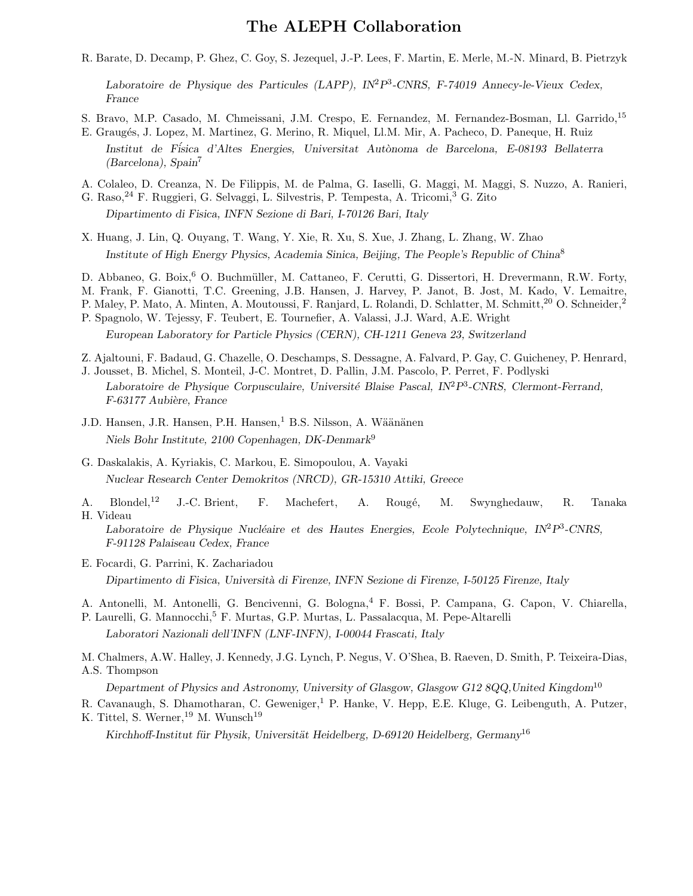#### **The ALEPH Collaboration**

R. Barate, D. Decamp, P. Ghez, C. Goy, S. Jezequel, J.-P. Lees, F. Martin, E. Merle, M.-N. Minard, B. Pietrzyk

*Laboratoire de Physique des Particules (LAPP), IN*<sup>2</sup>*P*<sup>3</sup>*-CNRS, F-74019 Annecy-le-Vieux Cedex, France*

- S. Bravo, M.P. Casado, M. Chmeissani, J.M. Crespo, E. Fernandez, M. Fernandez-Bosman, Ll. Garrido,<sup>15</sup>
- E. Graugés, J. Lopez, M. Martinez, G. Merino, R. Miquel, Ll.M. Mir, A. Pacheco, D. Paneque, H. Ruiz Institut de Física d'Altes Energies, Universitat Autònoma de Barcelona, E-08193 Bellaterra *(Barcelona), Spain*<sup>7</sup>
- A. Colaleo, D. Creanza, N. De Filippis, M. de Palma, G. Iaselli, G. Maggi, M. Maggi, S. Nuzzo, A. Ranieri,
- G. Raso,<sup>24</sup> F. Ruggieri, G. Selvaggi, L. Silvestris, P. Tempesta, A. Tricomi,<sup>3</sup> G. Zito
	- *Dipartimento di Fisica, INFN Sezione di Bari, I-70126 Bari, Italy*
- X. Huang, J. Lin, Q. Ouyang, T. Wang, Y. Xie, R. Xu, S. Xue, J. Zhang, L. Zhang, W. Zhao *Institute of High Energy Physics, Academia Sinica, Beijing, The People's Republic of China*<sup>8</sup>
- D. Abbaneo, G. Boix, <sup>6</sup> O. Buchmüller, M. Cattaneo, F. Cerutti, G. Dissertori, H. Drevermann, R.W. Forty,
- M. Frank, F. Gianotti, T.C. Greening, J.B. Hansen, J. Harvey, P. Janot, B. Jost, M. Kado, V. Lemaitre,
- P. Maley, P. Mato, A. Minten, A. Moutoussi, F. Ranjard, L. Rolandi, D. Schlatter, M. Schmitt,<sup>20</sup> O. Schneider.<sup>2</sup>
- P. Spagnolo, W. Tejessy, F. Teubert, E. Tournefier, A. Valassi, J.J. Ward, A.E. Wright *European Laboratory for Particle Physics (CERN), CH-1211 Geneva 23, Switzerland*
- Z. Ajaltouni, F. Badaud, G. Chazelle, O. Deschamps, S. Dessagne, A. Falvard, P. Gay, C. Guicheney, P. Henrard,
- J. Jousset, B. Michel, S. Monteil, J-C. Montret, D. Pallin, J.M. Pascolo, P. Perret, F. Podlyski *Laboratoire de Physique Corpusculaire, Universit´e Blaise Pascal, IN*<sup>2</sup>*P*<sup>3</sup>*-CNRS, Clermont-Ferrand, F-63177 Aubi`ere, France*
- J.D. Hansen, J.R. Hansen, P.H. Hansen,<sup>1</sup> B.S. Nilsson, A. Wäänänen *Niels Bohr Institute, 2100 Copenhagen, DK-Denmark*<sup>9</sup>
- G. Daskalakis, A. Kyriakis, C. Markou, E. Simopoulou, A. Vayaki *Nuclear Research Center Demokritos (NRCD), GR-15310 Attiki, Greece*
- A. Blondel,<sup>12</sup> J.-C. Brient, F. Machefert, A. Rougé, M. Swynghedauw, R. Tanaka H. Videau

Laboratoire de Physique Nucléaire et des Hautes Energies, Ecole Polytechnique, IN<sup>2</sup>P<sup>3</sup>-CNRS, *F-91128 Palaiseau Cedex, France*

- E. Focardi, G. Parrini, K. Zachariadou *Dipartimento di Fisica, Universit`a di Firenze, INFN Sezione di Firenze, I-50125 Firenze, Italy*
- A. Antonelli, M. Antonelli, G. Bencivenni, G. Bologna,<sup>4</sup> F. Bossi, P. Campana, G. Capon, V. Chiarella,
- P. Laurelli, G. Mannocchi,<sup>5</sup> F. Murtas, G.P. Murtas, L. Passalacqua, M. Pepe-Altarelli *Laboratori Nazionali dell'INFN (LNF-INFN), I-00044 Frascati, Italy*

M. Chalmers, A.W. Halley, J. Kennedy, J.G. Lynch, P. Negus, V. O'Shea, B. Raeven, D. Smith, P. Teixeira-Dias, A.S. Thompson

*Department of Physics and Astronomy, University of Glasgow, Glasgow G12 8QQ,United Kingdom*<sup>10</sup>

R. Cavanaugh, S. Dhamotharan, C. Geweniger,<sup>1</sup> P. Hanke, V. Hepp, E.E. Kluge, G. Leibenguth, A. Putzer, K. Tittel, S. Werner, <sup>19</sup> M. Wunsch<sup>19</sup>

*Kirchhoff-Institut f¨ur Physik, Universit¨at Heidelberg, D-69120 Heidelberg, Germany*<sup>16</sup>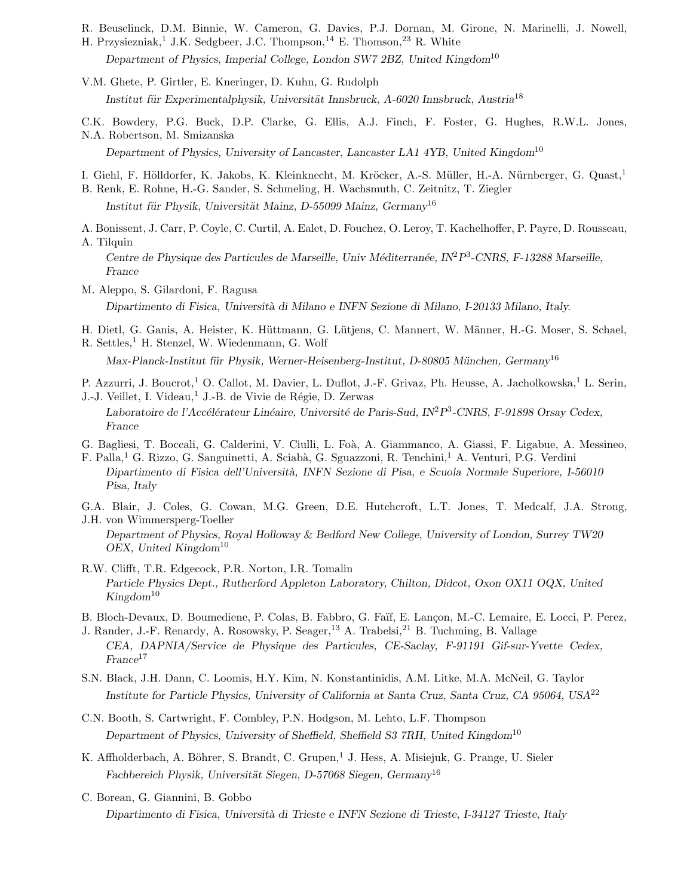- R. Beuselinck, D.M. Binnie, W. Cameron, G. Davies, P.J. Dornan, M. Girone, N. Marinelli, J. Nowell,
- H. Przysiezniak,<sup>1</sup> J.K. Sedgbeer, J.C. Thompson,<sup>14</sup> E. Thomson,<sup>23</sup> R. White *Department of Physics, Imperial College, London SW7 2BZ, United Kingdom*<sup>10</sup>
- V.M. Ghete, P. Girtler, E. Kneringer, D. Kuhn, G. Rudolph Institut für Experimentalphysik, Universität Innsbruck, A-6020 Innsbruck, Austria<sup>18</sup>
- C.K. Bowdery, P.G. Buck, D.P. Clarke, G. Ellis, A.J. Finch, F. Foster, G. Hughes, R.W.L. Jones,

N.A. Robertson, M. Smizanska *Department of Physics, University of Lancaster, Lancaster LA1 4YB, United Kingdom*<sup>10</sup>

- I. Giehl, F. Hölldorfer, K. Jakobs, K. Kleinknecht, M. Kröcker, A.-S. Müller, H.-A. Nürnberger, G. Quast,<sup>1</sup>
- B. Renk, E. Rohne, H.-G. Sander, S. Schmeling, H. Wachsmuth, C. Zeitnitz, T. Ziegler *Institut f¨ur Physik, Universit¨at Mainz, D-55099 Mainz, Germany*<sup>16</sup>
- A. Bonissent, J. Carr, P. Coyle, C. Curtil, A. Ealet, D. Fouchez, O. Leroy, T. Kachelhoffer, P. Payre, D. Rousseau,
- A. Tilquin *Centre de Physique des Particules de Marseille, Univ M´editerran´ee, IN*<sup>2</sup>*P*<sup>3</sup>*-CNRS, F-13288 Marseille, France*
- M. Aleppo, S. Gilardoni, F. Ragusa *Dipartimento di Fisica, Universit`a di Milano e INFN Sezione di Milano, I-20133 Milano, Italy.*
- H. Dietl, G. Ganis, A. Heister, K. Hüttmann, G. Lütjens, C. Mannert, W. Männer, H.-G. Moser, S. Schael,
- R. Settles,<sup>1</sup> H. Stenzel, W. Wiedenmann, G. Wolf

*Max-Planck-Institut f¨ur Physik, Werner-Heisenberg-Institut, D-80805 M¨unchen, Germany*<sup>16</sup>

- P. Azzurri, J. Boucrot,<sup>1</sup> O. Callot, M. Davier, L. Duflot, J.-F. Grivaz, Ph. Heusse, A. Jacholkowska,<sup>1</sup> L. Serin,
- J.-J. Veillet, I. Videau,<sup>1</sup> J.-B. de Vivie de Régie, D. Zerwas Laboratoire de l'Accélérateur Linéaire, Université de Paris-Sud, IN<sup>2</sup>P<sup>3</sup>-CNRS, F-91898 Orsay Cedex, *France*
- G. Bagliesi, T. Boccali, G. Calderini, V. Ciulli, L. Foà, A. Giammanco, A. Giassi, F. Ligabue, A. Messineo,
- F. Palla,<sup>1</sup> G. Rizzo, G. Sanguinetti, A. Sciab`a, G. Sguazzoni, R. Tenchini,<sup>1</sup> A. Venturi, P.G. Verdini *Dipartimento di Fisica dell'Universit`a, INFN Sezione di Pisa, e Scuola Normale Superiore, I-56010 Pisa, Italy*
- G.A. Blair, J. Coles, G. Cowan, M.G. Green, D.E. Hutchcroft, L.T. Jones, T. Medcalf, J.A. Strong, J.H. von Wimmersperg-Toeller

*Department of Physics, Royal Holloway & Bedford New College, University of London, Surrey TW20 OEX, United Kingdom*<sup>10</sup>

- R.W. Clifft, T.R. Edgecock, P.R. Norton, I.R. Tomalin *Particle Physics Dept., Rutherford Appleton Laboratory, Chilton, Didcot, Oxon OX11 OQX, United Kingdom*<sup>10</sup>
- B. Bloch-Devaux, D. Boumediene, P. Colas, B. Fabbro, G. Faïf, E. Lançon, M.-C. Lemaire, E. Locci, P. Perez,
- J. Rander, J.-F. Renardy, A. Rosowsky, P. Seager,<sup>13</sup> A. Trabelsi,<sup>21</sup> B. Tuchming, B. Vallage *CEA, DAPNIA/Service de Physique des Particules, CE-Saclay, F-91191 Gif-sur-Yvette Cedex, France*<sup>17</sup>
- S.N. Black, J.H. Dann, C. Loomis, H.Y. Kim, N. Konstantinidis, A.M. Litke, M.A. McNeil, G. Taylor *Institute for Particle Physics, University of California at Santa Cruz, Santa Cruz, CA 95064, USA*<sup>22</sup>
- C.N. Booth, S. Cartwright, F. Combley, P.N. Hodgson, M. Lehto, L.F. Thompson *Department of Physics, University of Sheffield, Sheffield S3 7RH, United Kingdom*<sup>10</sup>
- K. Affholderbach, A. Böhrer, S. Brandt, C. Grupen,<sup>1</sup> J. Hess, A. Misiejuk, G. Prange, U. Sieler Fachbereich Physik, Universität Siegen, D-57068 Siegen, Germany<sup>16</sup>
- C. Borean, G. Giannini, B. Gobbo *Dipartimento di Fisica, Universit`a di Trieste e INFN Sezione di Trieste, I-34127 Trieste, Italy*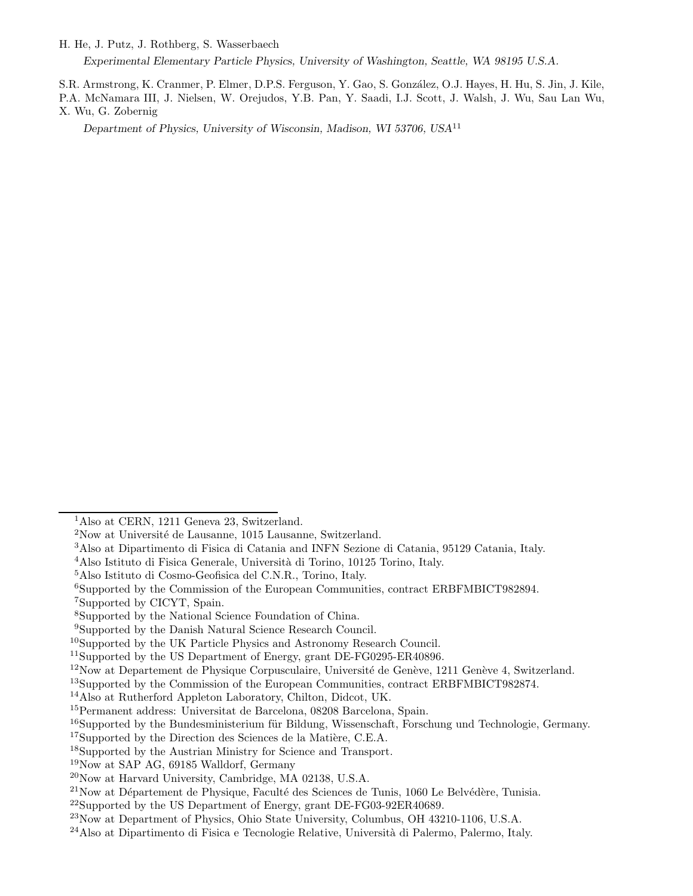H. He, J. Putz, J. Rothberg, S. Wasserbaech

*Experimental Elementary Particle Physics, University of Washington, Seattle, WA 98195 U.S.A.*

S.R. Armstrong, K. Cranmer, P. Elmer, D.P.S. Ferguson, Y. Gao, S. González, O.J. Hayes, H. Hu, S. Jin, J. Kile,

P.A. McNamara III, J. Nielsen, W. Orejudos, Y.B. Pan, Y. Saadi, I.J. Scott, J. Walsh, J. Wu, Sau Lan Wu, X. Wu, G. Zobernig

*Department of Physics, University of Wisconsin, Madison, WI 53706, USA*<sup>11</sup>

<sup>7</sup>Supported by CICYT, Spain.

<sup>&</sup>lt;sup>1</sup>Also at CERN, 1211 Geneva 23, Switzerland.

 $2$ Now at Université de Lausanne, 1015 Lausanne, Switzerland.

<sup>3</sup>Also at Dipartimento di Fisica di Catania and INFN Sezione di Catania, 95129 Catania, Italy.

<sup>&</sup>lt;sup>4</sup>Also Istituto di Fisica Generale, Università di Torino, 10125 Torino, Italy.

<sup>5</sup>Also Istituto di Cosmo-Geofisica del C.N.R., Torino, Italy.

<sup>6</sup>Supported by the Commission of the European Communities, contract ERBFMBICT982894.

<sup>8</sup>Supported by the National Science Foundation of China.

<sup>9</sup>Supported by the Danish Natural Science Research Council.

<sup>10</sup>Supported by the UK Particle Physics and Astronomy Research Council.

<sup>&</sup>lt;sup>11</sup>Supported by the US Department of Energy, grant DE-FG0295-ER40896.

 $12$ Now at Departement de Physique Corpusculaire, Université de Genève, 1211 Genève 4, Switzerland.

<sup>13</sup>Supported by the Commission of the European Communities, contract ERBFMBICT982874.

<sup>14</sup>Also at Rutherford Appleton Laboratory, Chilton, Didcot, UK.

<sup>15</sup>Permanent address: Universitat de Barcelona, 08208 Barcelona, Spain.

 $16$ Supported by the Bundesministerium für Bildung, Wissenschaft, Forschung und Technologie, Germany.

 $17$ Supported by the Direction des Sciences de la Matière, C.E.A.

<sup>18</sup>Supported by the Austrian Ministry for Science and Transport.

<sup>19</sup>Now at SAP AG, 69185 Walldorf, Germany

<sup>20</sup>Now at Harvard University, Cambridge, MA 02138, U.S.A.

 $^{21}$ Now at Département de Physique, Faculté des Sciences de Tunis, 1060 Le Belvédère, Tunisia.

<sup>&</sup>lt;sup>22</sup>Supported by the US Department of Energy, grant DE-FG03-92ER40689.

<sup>23</sup>Now at Department of Physics, Ohio State University, Columbus, OH 43210-1106, U.S.A.

<sup>&</sup>lt;sup>24</sup>Also at Dipartimento di Fisica e Tecnologie Relative, Università di Palermo, Palermo, Italy.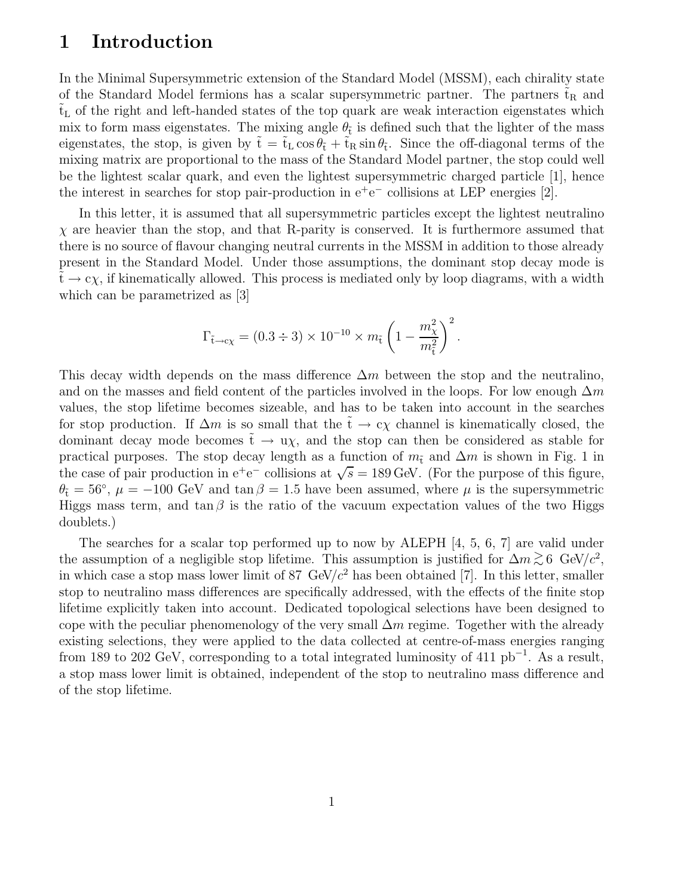## **1 Introduction**

In the Minimal Supersymmetric extension of the Standard Model (MSSM), each chirality state of the Standard Model fermions has a scalar supersymmetric partner. The partners  $t_R$  and  $t_L$  of the right and left-handed states of the top quark are weak interaction eigenstates which mix to form mass eigenstates. The mixing angle  $\theta_{\tilde{t}}$  is defined such that the lighter of the mass eigenstates, the stop, is given by  $\tilde{t} = \tilde{t}_L \cos \theta_{\tilde{t}} + \tilde{t}_R \sin \theta_{\tilde{t}}$ . Since the off-diagonal terms of the mixing matrix are proportional to the mass of the Standard Model partner, the stop could well be the lightest scalar quark, and even the lightest supersymmetric charged particle [1], hence the interest in searches for stop pair-production in  $e^+e^-$  collisions at LEP energies [2].

In this letter, it is assumed that all supersymmetric particles except the lightest neutralino  $\chi$  are heavier than the stop, and that R-parity is conserved. It is furthermore assumed that there is no source of flavour changing neutral currents in the MSSM in addition to those already present in the Standard Model. Under those assumptions, the dominant stop decay mode is  $\tilde{t} \to c\chi$ , if kinematically allowed. This process is mediated only by loop diagrams, with a width which can be parametrized as [3]

$$
\Gamma_{\tilde{t}\to c\chi} = (0.3 \div 3) \times 10^{-10} \times m_{\tilde{t}} \left( 1 - \frac{m_{\chi}^2}{m_{\tilde{t}}^2} \right)^2.
$$

This decay width depends on the mass difference  $\Delta m$  between the stop and the neutralino, and on the masses and field content of the particles involved in the loops. For low enough  $\Delta m$ values, the stop lifetime becomes sizeable, and has to be taken into account in the searches for stop production. If  $\Delta m$  is so small that the  $\tilde{t} \to c\chi$  channel is kinematically closed, the dominant decay mode becomes  $\tilde{t} \to u\chi$ , and the stop can then be considered as stable for practical purposes. The stop decay length as a function of  $m_t$  and  $\Delta m$  is shown in Fig. 1 in the case of pair production in  $e^+e^-$  collisions at  $\sqrt{s} = 189 \text{ GeV}$ . (For the purpose of this figure,  $\theta_{\tilde{t}} = 56^{\circ}$ ,  $\mu = -100$  GeV and tan  $\beta = 1.5$  have been assumed, where  $\mu$  is the supersymmetric Higgs mass term, and  $\tan \beta$  is the ratio of the vacuum expectation values of the two Higgs doublets.)

The searches for a scalar top performed up to now by ALEPH [4, 5, 6, 7] are valid under the assumption of a negligible stop lifetime. This assumption is justified for  $\Delta m \gtrsim 6 \text{ GeV}/c^2$ ,<br>in which ages a star wave lawy limit of  $\frac{87}{5} \text{ GeV}/c^2$  has have althinged [7]. In this latter and law in which case a stop mass lower limit of 87 GeV/ $c^2$  has been obtained [7]. In this letter, smaller stop to neutralino mass differences are specifically addressed, with the effects of the finite stop lifetime explicitly taken into account. Dedicated topological selections have been designed to cope with the peculiar phenomenology of the very small  $\Delta m$  regime. Together with the already existing selections, they were applied to the data collected at centre-of-mass energies ranging from 189 to 202 GeV, corresponding to a total integrated luminosity of 411  $pb^{-1}$ . As a result, a stop mass lower limit is obtained, independent of the stop to neutralino mass difference and of the stop lifetime.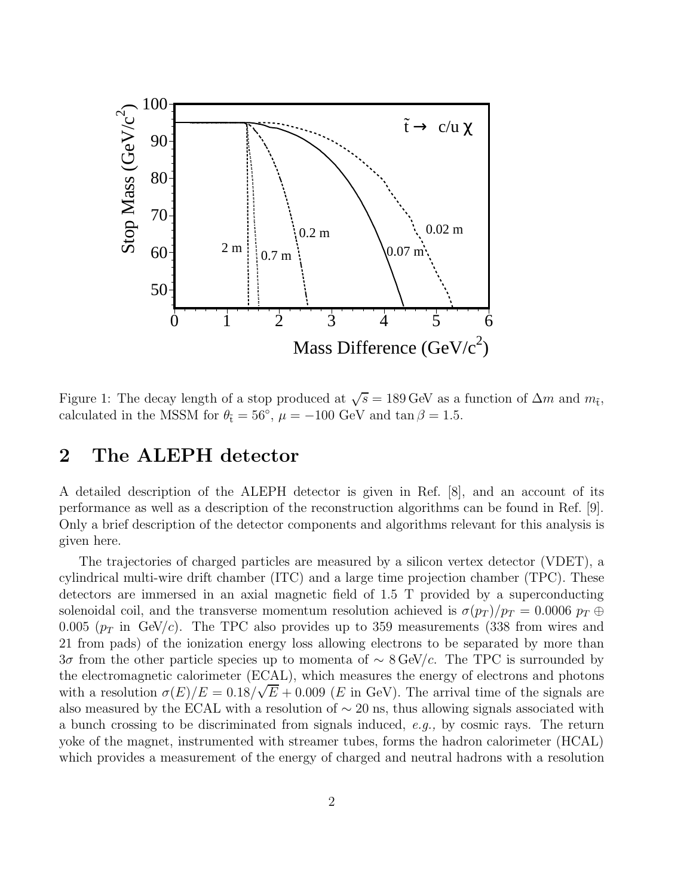

Figure 1: The decay length of a stop produced at  $\sqrt{s} = 189 \text{ GeV}$  as a function of  $\Delta m$  and  $m_t$ , calculated in the MSSM for  $\theta_{\tilde{t}} = 56^{\circ}$ ,  $\mu = -100$  GeV and tan  $\beta = 1.5$ .

#### **2 The ALEPH detector**

A detailed description of the ALEPH detector is given in Ref. [8], and an account of its performance as well as a description of the reconstruction algorithms can be found in Ref. [9]. Only a brief description of the detector components and algorithms relevant for this analysis is given here.

The trajectories of charged particles are measured by a silicon vertex detector (VDET), a cylindrical multi-wire drift chamber (ITC) and a large time projection chamber (TPC). These detectors are immersed in an axial magnetic field of 1.5 T provided by a superconducting solenoidal coil, and the transverse momentum resolution achieved is  $\sigma(p_T)/p_T = 0.0006 p_T \oplus$ 0.005 ( $p_T$  in GeV/c). The TPC also provides up to 359 measurements (338 from wires and 21 from pads) of the ionization energy loss allowing electrons to be separated by more than 3σ from the other particle species up to momenta of  $\sim$  8 GeV/c. The TPC is surrounded by the electromagnetic calorimeter (ECAL), which measures the energy of electrons and photons with a resolution  $\sigma(E)/E = 0.18/\sqrt{E} + 0.009$  (*E* in GeV). The arrival time of the signals are also measured by the ECAL with a resolution of  $\sim 20$  ns, thus allowing signals associated with a bunch crossing to be discriminated from signals induced, e.g., by cosmic rays. The return yoke of the magnet, instrumented with streamer tubes, forms the hadron calorimeter (HCAL) which provides a measurement of the energy of charged and neutral hadrons with a resolution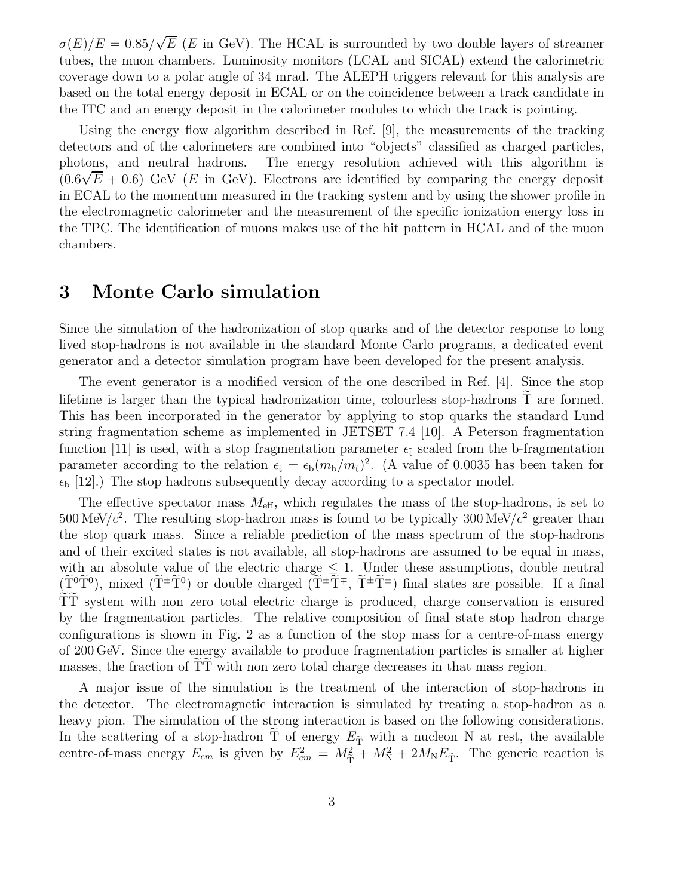$\sigma(E)/E = 0.85/\sqrt{E}$  (E in GeV). The HCAL is surrounded by two double layers of streamer tubes, the muon chambers. Luminosity monitors (LCAL and SICAL) extend the calorimetric coverage down to a polar angle of 34 mrad. The ALEPH triggers relevant for this analysis are based on the total energy deposit in ECAL or on the coincidence between a track candidate in the ITC and an energy deposit in the calorimeter modules to which the track is pointing.

Using the energy flow algorithm described in Ref. [9], the measurements of the tracking detectors and of the calorimeters are combined into "objects" classified as charged particles, photons, and neutral hadrons. The energy resolution achieved with this algorithm is  $(0.6\sqrt{E} + 0.6)$  GeV (E in GeV). Electrons are identified by comparing the energy deposit in ECAL to the momentum measured in the tracking system and by using the shower profile in the electromagnetic calorimeter and the measurement of the specific ionization energy loss in the TPC. The identification of muons makes use of the hit pattern in HCAL and of the muon chambers.

#### **3 Monte Carlo simulation**

Since the simulation of the hadronization of stop quarks and of the detector response to long lived stop-hadrons is not available in the standard Monte Carlo programs, a dedicated event generator and a detector simulation program have been developed for the present analysis.

The event generator is a modified version of the one described in Ref. [4]. Since the stop lifetime is larger than the typical hadronization time, colourless stop-hadrons  $T$  are formed. This has been incorporated in the generator by applying to stop quarks the standard Lund string fragmentation scheme as implemented in JETSET 7.4 [10]. A Peterson fragmentation function [11] is used, with a stop fragmentation parameter  $\epsilon_{\tilde{t}}$  scaled from the b-fragmentation parameter according to the relation  $\epsilon_{\tilde{t}} = \epsilon_{\rm b}(m_{\rm b}/m_{\tilde{t}})^2$ . (A value of 0.0035 has been taken for  $\epsilon_{\rm b}$  [12].) The stop hadrons subsequently decay according to a spectator model.

The effective spectator mass  $M_{\text{eff}}$ , which regulates the mass of the stop-hadrons, is set to 500 MeV/ $c^2$ . The resulting stop-hadron mass is found to be typically 300 MeV/ $c^2$  greater than the stop quark mass. Since a reliable prediction of the mass spectrum of the stop-hadrons and of their excited states is not available, all stop-hadrons are assumed to be equal in mass, with an absolute value of the electric charge  $\leq 1$ . Under these assumptions, double neutral  $(\tilde{T}^0\tilde{T}^0)$ , mixed  $(\tilde{T}^{\pm}\tilde{T}^0)$  or double charged  $(\tilde{T}^{\pm}\tilde{T}^{\mp}, \tilde{T}^{\pm}\tilde{T}^{\pm})$  final states are possible. If a final TT system with non zero total electric charge is produced, charge conservation is ensured by the fragmentation particles. The relative composition of final state stop hadron charge configurations is shown in Fig. 2 as a function of the stop mass for a centre-of-mass energy of 200 GeV. Since the energy available to produce fragmentation particles is smaller at higher masses, the fraction of TT with non zero total charge decreases in that mass region.

A major issue of the simulation is the treatment of the interaction of stop-hadrons in the detector. The electromagnetic interaction is simulated by treating a stop-hadron as a heavy pion. The simulation of the strong interaction is based on the following considerations. In the scattering of a stop-hadron T of energy  $E_{\tilde{T}}$  with a nucleon N at rest, the available centre-of-mass energy  $E_{cm}$  is given by  $E_{cm}^2 = M_{\tilde{T}}^2 + M_{\rm N}^2 + 2M_{\rm N}E_{\tilde{T}}$ . The generic reaction is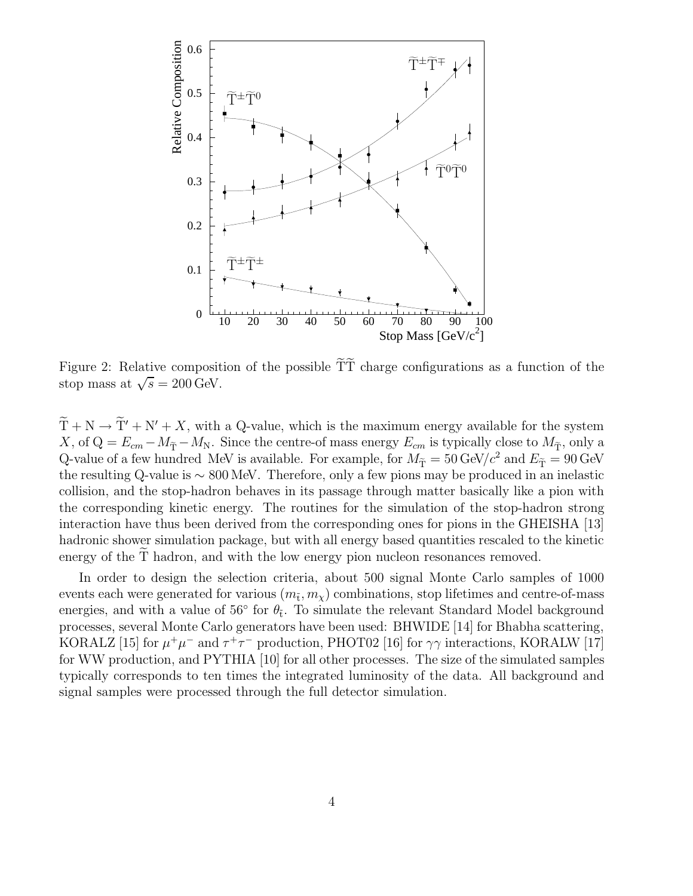

Figure 2: Relative composition of the possible  $\tilde{T}\tilde{T}$  charge configurations as a function of the stop mass at  $\sqrt{s} = 200 \,\text{GeV}$ .

 $\widetilde{T} + N \rightarrow \widetilde{T}' + N' + X$ , with a Q-value, which is the maximum energy available for the system X, of  $Q = E_{cm} - M_{\tilde{T}} - M_N$ . Since the centre-of mass energy  $E_{cm}$  is typically close to  $M_{\tilde{T}}$ , only a Q-value of a few hundred MeV is available. For example, for  $M_{\tilde{T}} = 50 \text{ GeV}/c^2$  and  $E_{\tilde{T}} = 90 \text{ GeV}$ the resulting Q-value is ∼ 800 MeV. Therefore, only a few pions may be produced in an inelastic collision, and the stop-hadron behaves in its passage through matter basically like a pion with the corresponding kinetic energy. The routines for the simulation of the stop-hadron strong interaction have thus been derived from the corresponding ones for pions in the GHEISHA [13] hadronic shower simulation package, but with all energy based quantities rescaled to the kinetic energy of the T hadron, and with the low energy pion nucleon resonances removed.

In order to design the selection criteria, about 500 signal Monte Carlo samples of 1000 events each were generated for various  $(m_t, m_y)$  combinations, stop lifetimes and centre-of-mass energies, and with a value of 56 $\degree$  for  $\theta_{\tilde{t}}$ . To simulate the relevant Standard Model background processes, several Monte Carlo generators have been used: BHWIDE [14] for Bhabha scattering, KORALZ [15] for  $\mu^+\mu^-$  and  $\tau^+\tau^-$  production, PHOT02 [16] for  $\gamma\gamma$  interactions, KORALW [17] for WW production, and PYTHIA [10] for all other processes. The size of the simulated samples typically corresponds to ten times the integrated luminosity of the data. All background and signal samples were processed through the full detector simulation.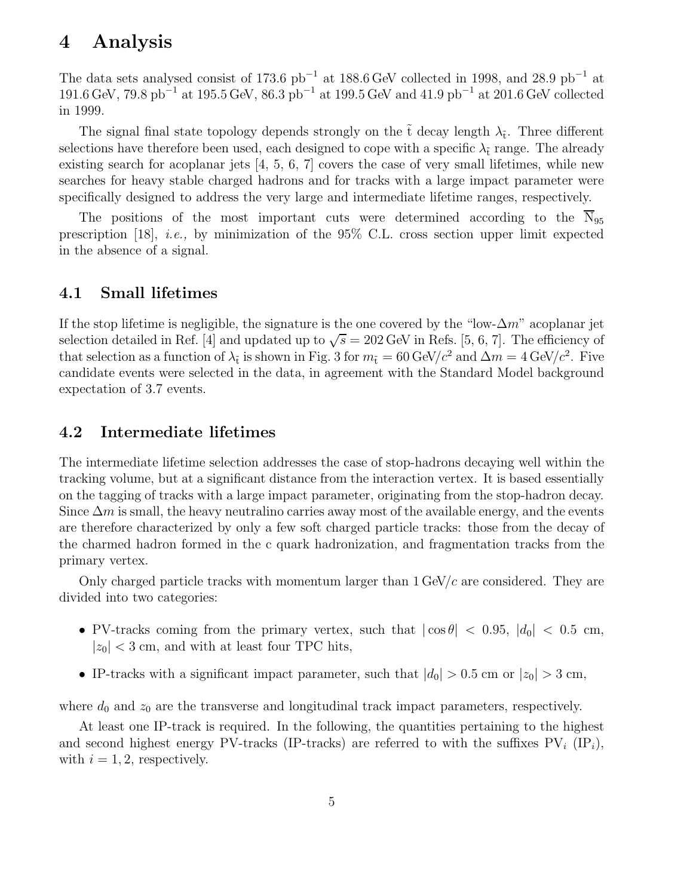#### **4 Analysis**

The data sets analysed consist of 173.6  $pb^{-1}$  at 188.6 GeV collected in 1998, and 28.9  $pb^{-1}$  at 191.6 GeV, 79.8 pb<sup> $-1$ </sup> at 195.5 GeV, 86.3 pb<sup>-1</sup> at 199.5 GeV and 41.9 pb<sup>-1</sup> at 201.6 GeV collected in 1999.

The signal final state topology depends strongly on the  $\tilde{t}$  decay length  $\lambda_{\tilde{t}}$ . Three different selections have therefore been used, each designed to cope with a specific  $\lambda_{\tilde{t}}$  range. The already existing search for acoplanar jets  $[4, 5, 6, 7]$  covers the case of very small lifetimes, while new searches for heavy stable charged hadrons and for tracks with a large impact parameter were specifically designed to address the very large and intermediate lifetime ranges, respectively.

The positions of the most important cuts were determined according to the  $\overline{N}_{95}$ prescription [18], i.e., by minimization of the 95% C.L. cross section upper limit expected in the absence of a signal.

#### **4.1 Small lifetimes**

If the stop lifetime is negligible, the signature is the one covered by the "low- $\Delta m$ " acoplanar jet selection detailed in Ref. [4] and updated up to  $\sqrt{s} = 202 \text{ GeV}$  in Refs. [5, 6, 7]. The efficiency of that selection as a function of  $\lambda_{\tilde{t}}$  is shown in Fig. 3 for  $m_{\tilde{t}} = 60 \text{ GeV}/c^2$  and  $\Delta m = 4 \text{ GeV}/c^2$ . Five candidate events were selected in the data, in agreement with the Standard Model background expectation of 3.7 events.

#### **4.2 Intermediate lifetimes**

The intermediate lifetime selection addresses the case of stop-hadrons decaying well within the tracking volume, but at a significant distance from the interaction vertex. It is based essentially on the tagging of tracks with a large impact parameter, originating from the stop-hadron decay. Since  $\Delta m$  is small, the heavy neutralino carries away most of the available energy, and the events are therefore characterized by only a few soft charged particle tracks: those from the decay of the charmed hadron formed in the c quark hadronization, and fragmentation tracks from the primary vertex.

Only charged particle tracks with momentum larger than  $1 \text{ GeV}/c$  are considered. They are divided into two categories:

- PV-tracks coming from the primary vertex, such that  $|\cos \theta|$  < 0.95,  $|d_0|$  < 0.5 cm,  $|z_0|$  < 3 cm, and with at least four TPC hits,
- IP-tracks with a significant impact parameter, such that  $|d_0| > 0.5$  cm or  $|z_0| > 3$  cm,

where  $d_0$  and  $z_0$  are the transverse and longitudinal track impact parameters, respectively.

At least one IP-track is required. In the following, the quantities pertaining to the highest and second highest energy PV-tracks (IP-tracks) are referred to with the suffixes  $PV_i$  (IP<sub>i</sub>), with  $i = 1, 2$ , respectively.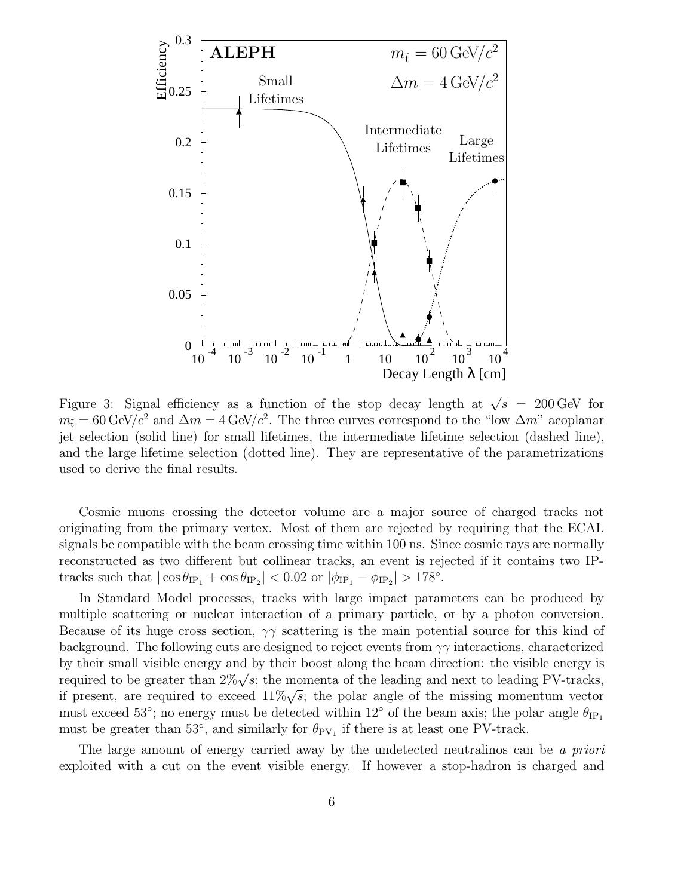

Figure 3: Signal efficiency as a function of the stop decay length at  $\sqrt{s}$  = 200 GeV for  $m_{\tilde{t}} = 60 \text{ GeV}/c^2$  and  $\Delta m = 4 \text{ GeV}/c^2$ . The three curves correspond to the "low  $\Delta m$ " acoplanar jet selection (solid line) for small lifetimes, the intermediate lifetime selection (dashed line), and the large lifetime selection (dotted line). They are representative of the parametrizations used to derive the final results.

Cosmic muons crossing the detector volume are a major source of charged tracks not originating from the primary vertex. Most of them are rejected by requiring that the ECAL signals be compatible with the beam crossing time within 100 ns. Since cosmic rays are normally reconstructed as two different but collinear tracks, an event is rejected if it contains two IPtracks such that  $|\cos \theta_{\text{IP}_1} + \cos \theta_{\text{IP}_2}| < 0.02 \text{ or } |\phi_{\text{IP}_1} - \phi_{\text{IP}_2}| > 178^\circ$ .

In Standard Model processes, tracks with large impact parameters can be produced by multiple scattering or nuclear interaction of a primary particle, or by a photon conversion. Because of its huge cross section,  $\gamma\gamma$  scattering is the main potential source for this kind of background. The following cuts are designed to reject events from  $\gamma\gamma$  interactions, characterized by their small visible energy and by their boost along the beam direction: the visible energy is required to be greater than  $2\% \sqrt{s}$ ; the momenta of the leading and next to leading PV-tracks, if present, are required to exceed  $11\% \sqrt{s}$ ; the polar angle of the missing momentum vector must exceed 53°; no energy must be detected within 12° of the beam axis; the polar angle  $\theta_{\text{IP}_1}$ must be greater than 53 $^{\circ}$ , and similarly for  $\theta_{PV_1}$  if there is at least one PV-track.

The large amount of energy carried away by the undetected neutralinos can be a priori exploited with a cut on the event visible energy. If however a stop-hadron is charged and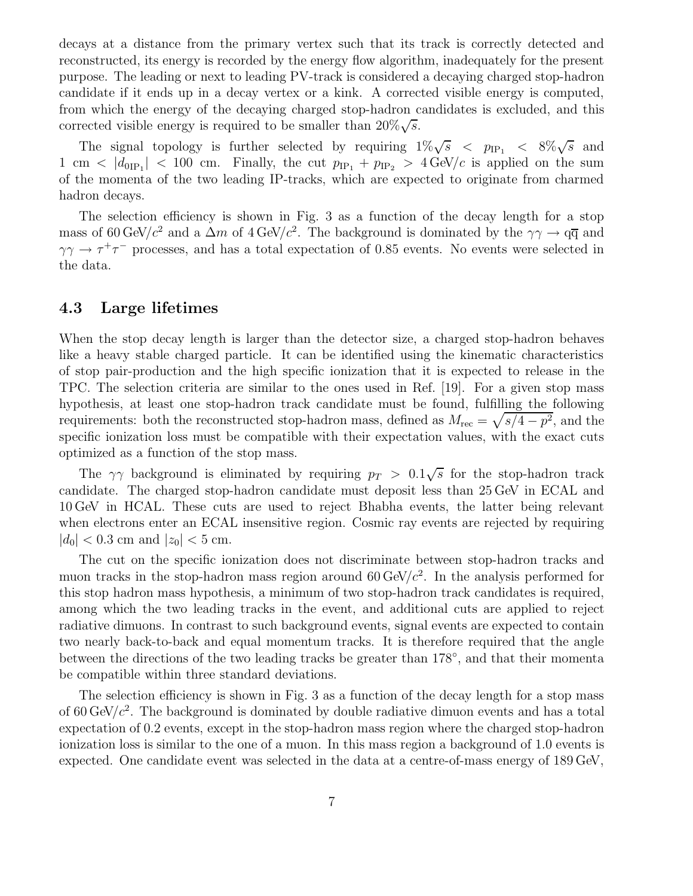decays at a distance from the primary vertex such that its track is correctly detected and reconstructed, its energy is recorded by the energy flow algorithm, inadequately for the present purpose. The leading or next to leading PV-track is considered a decaying charged stop-hadron candidate if it ends up in a decay vertex or a kink. A corrected visible energy is computed, from which the energy of the decaying charged stop-hadron candidates is excluded, and this corrected visible energy is required to be smaller than  $20\% \sqrt{s}$ .

The signal topology is further selected by requiring  $1\% \sqrt{s}$  <  $p_{\text{IP}_1}$  <  $8\% \sqrt{s}$  and 1 cm  $\langle |d_{0IP_1}| \rangle$  = 100 cm. Finally, the cut  $p_{IP_1} + p_{IP_2} > 4 \text{ GeV}/c$  is applied on the sum of the momenta of the two leading IP-tracks, which are expected to originate from charmed hadron decays.

The selection efficiency is shown in Fig. 3 as a function of the decay length for a stop mass of 60 GeV/c<sup>2</sup> and a  $\Delta m$  of 4 GeV/c<sup>2</sup>. The background is dominated by the  $\gamma\gamma \to q\overline{q}$  and  $\gamma\gamma \to \tau^+\tau^-$  processes, and has a total expectation of 0.85 events. No events were selected in the data.

#### **4.3 Large lifetimes**

When the stop decay length is larger than the detector size, a charged stop-hadron behaves like a heavy stable charged particle. It can be identified using the kinematic characteristics of stop pair-production and the high specific ionization that it is expected to release in the TPC. The selection criteria are similar to the ones used in Ref. [19]. For a given stop mass hypothesis, at least one stop-hadron track candidate must be found, fulfilling the following requirements: both the reconstructed stop-hadron mass, defined as  $M_{\text{rec}} = \sqrt{s/4 - p^2}$ , and the specific ionization loss must be compatible with their expectation values, with the exact cuts optimized as a function of the stop mass.

The  $\gamma\gamma$  background is eliminated by requiring  $p_T > 0.1\sqrt{s}$  for the stop-hadron track candidate. The charged stop-hadron candidate must deposit less than 25 GeV in ECAL and 10 GeV in HCAL. These cuts are used to reject Bhabha events, the latter being relevant when electrons enter an ECAL insensitive region. Cosmic ray events are rejected by requiring  $|d_0|$  < 0.3 cm and  $|z_0|$  < 5 cm.

The cut on the specific ionization does not discriminate between stop-hadron tracks and muon tracks in the stop-hadron mass region around  $60 \text{ GeV}/c^2$ . In the analysis performed for this stop hadron mass hypothesis, a minimum of two stop-hadron track candidates is required, among which the two leading tracks in the event, and additional cuts are applied to reject radiative dimuons. In contrast to such background events, signal events are expected to contain two nearly back-to-back and equal momentum tracks. It is therefore required that the angle between the directions of the two leading tracks be greater than 178◦, and that their momenta be compatible within three standard deviations.

The selection efficiency is shown in Fig. 3 as a function of the decay length for a stop mass of 60 GeV/ $c^2$ . The background is dominated by double radiative dimuon events and has a total expectation of 0.2 events, except in the stop-hadron mass region where the charged stop-hadron ionization loss is similar to the one of a muon. In this mass region a background of 1.0 events is expected. One candidate event was selected in the data at a centre-of-mass energy of 189 GeV,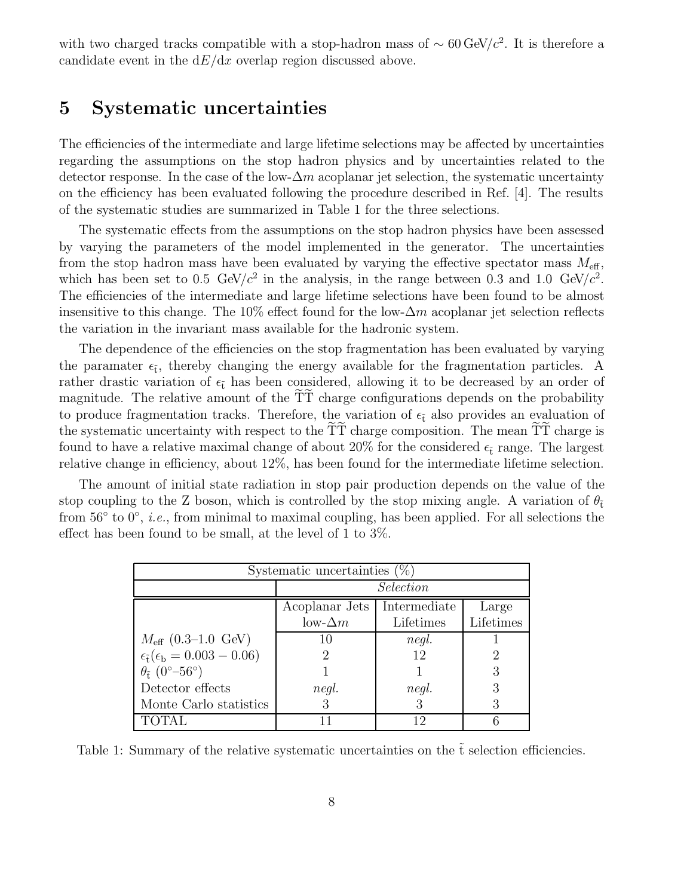with two charged tracks compatible with a stop-hadron mass of  $\sim 60 \,\text{GeV}/c^2$ . It is therefore a candidate event in the  $dE/dx$  overlap region discussed above.

## **5 Systematic uncertainties**

The efficiencies of the intermediate and large lifetime selections may be affected by uncertainties regarding the assumptions on the stop hadron physics and by uncertainties related to the detector response. In the case of the low- $\Delta m$  acoplanar jet selection, the systematic uncertainty on the efficiency has been evaluated following the procedure described in Ref. [4]. The results of the systematic studies are summarized in Table 1 for the three selections.

The systematic effects from the assumptions on the stop hadron physics have been assessed by varying the parameters of the model implemented in the generator. The uncertainties from the stop hadron mass have been evaluated by varying the effective spectator mass  $M_{\text{eff}}$ , which has been set to 0.5 GeV/ $c^2$  in the analysis, in the range between 0.3 and 1.0 GeV/ $c^2$ . The efficiencies of the intermediate and large lifetime selections have been found to be almost insensitive to this change. The 10% effect found for the low- $\Delta m$  acoplanar jet selection reflects the variation in the invariant mass available for the hadronic system.

The dependence of the efficiencies on the stop fragmentation has been evaluated by varying the paramater  $\epsilon_{\tilde{t}}$ , thereby changing the energy available for the fragmentation particles. A rather drastic variation of  $\epsilon_{\tilde{t}}$  has been considered, allowing it to be decreased by an order of magnitude. The relative amount of the TT charge configurations depends on the probability to produce fragmentation tracks. Therefore, the variation of  $\epsilon_{\tilde{t}}$  also provides an evaluation of the systematic uncertainty with respect to the TT charge composition. The mean TT charge is found to have a relative maximal change of about 20% for the considered  $\epsilon_{\tilde{t}}$  range. The largest relative change in efficiency, about 12%, has been found for the intermediate lifetime selection.

The amount of initial state radiation in stop pair production depends on the value of the stop coupling to the Z boson, which is controlled by the stop mixing angle. A variation of  $\theta_{\tilde{t}}$ from 56 $\degree$  to  $0\degree$ , *i.e.*, from minimal to maximal coupling, has been applied. For all selections the effect has been found to be small, at the level of 1 to 3%.

| Systematic uncertainties $(\%)$                         |                 |              |           |
|---------------------------------------------------------|-----------------|--------------|-----------|
|                                                         | Selection       |              |           |
|                                                         | Acoplanar Jets  | Intermediate | Large     |
|                                                         | $low- \Delta m$ | Lifetimes    | Lifetimes |
| $M_{\text{eff}}$ (0.3–1.0 GeV)                          |                 | negl.        |           |
| $\epsilon_{\tilde{t}}(\epsilon_{\rm b} = 0.003 - 0.06)$ |                 | 12           |           |
| $\theta_{\tilde{t}}$ (0°–56°)                           |                 |              |           |
| Detector effects                                        | negl.           | negl.        | 3         |
| Monte Carlo statistics                                  |                 |              |           |
| <b>TOTAL</b>                                            |                 | 12           |           |

Table 1: Summary of the relative systematic uncertainties on the  $\tilde{t}$  selection efficiencies.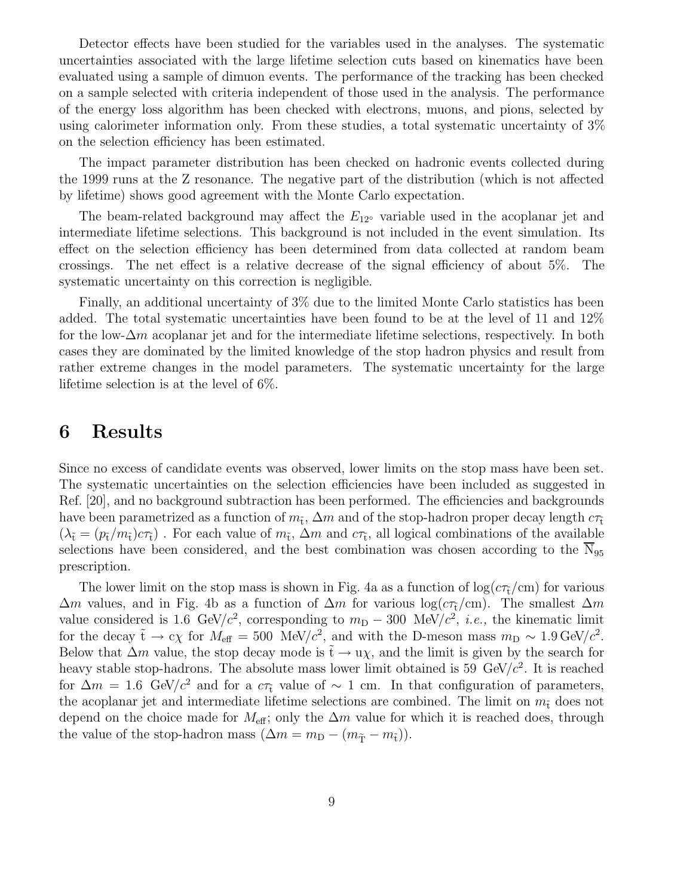Detector effects have been studied for the variables used in the analyses. The systematic uncertainties associated with the large lifetime selection cuts based on kinematics have been evaluated using a sample of dimuon events. The performance of the tracking has been checked on a sample selected with criteria independent of those used in the analysis. The performance of the energy loss algorithm has been checked with electrons, muons, and pions, selected by using calorimeter information only. From these studies, a total systematic uncertainty of 3% on the selection efficiency has been estimated.

The impact parameter distribution has been checked on hadronic events collected during the 1999 runs at the Z resonance. The negative part of the distribution (which is not affected by lifetime) shows good agreement with the Monte Carlo expectation.

The beam-related background may affect the  $E_{12}$ <sup>o</sup> variable used in the acoplanar jet and intermediate lifetime selections. This background is not included in the event simulation. Its effect on the selection efficiency has been determined from data collected at random beam crossings. The net effect is a relative decrease of the signal efficiency of about 5%. The systematic uncertainty on this correction is negligible.

Finally, an additional uncertainty of 3% due to the limited Monte Carlo statistics has been added. The total systematic uncertainties have been found to be at the level of 11 and 12% for the low- $\Delta m$  acoplanar jet and for the intermediate lifetime selections, respectively. In both cases they are dominated by the limited knowledge of the stop hadron physics and result from rather extreme changes in the model parameters. The systematic uncertainty for the large lifetime selection is at the level of 6%.

#### **6 Results**

Since no excess of candidate events was observed, lower limits on the stop mass have been set. The systematic uncertainties on the selection efficiencies have been included as suggested in Ref. [20], and no background subtraction has been performed. The efficiencies and backgrounds have been parametrized as a function of  $m_{\tilde{t}}$ ,  $\Delta m$  and of the stop-hadron proper decay length  $c\tau_{\tilde{t}}$  $(\lambda_{\tilde{t}} = (p_{\tilde{t}}/m_{\tilde{t}})c\tau_{\tilde{t}})$ . For each value of  $m_{\tilde{t}}$ ,  $\Delta m$  and  $c\tau_{\tilde{t}}$ , all logical combinations of the available selections have been considered, and the best combination was chosen according to the  $N_{95}$ prescription.

The lower limit on the stop mass is shown in Fig. 4a as a function of  $\log(c\tau_t/cm)$  for various  $\Delta m$  values, and in Fig. 4b as a function of  $\Delta m$  for various log( $c\tau_t/cm$ ). The smallest  $\Delta m$ value considered is 1.6 GeV/ $c^2$ , corresponding to  $m<sub>D</sub> - 300$  MeV/ $c^2$ , *i.e.*, the kinematic limit for the decay  $\tilde{t} \to c\chi$  for  $M_{\text{eff}} = 500 \text{ MeV}/c^2$ , and with the D-meson mass  $m_D \sim 1.9 \text{ GeV}/c^2$ . Below that  $\Delta m$  value, the stop decay mode is  $\tilde{t} \to u\chi$ , and the limit is given by the search for heavy stable stop-hadrons. The absolute mass lower limit obtained is 59 GeV/ $c^2$ . It is reached for  $\Delta m = 1.6$  GeV/ $c^2$  and for a  $c\tau_t$  value of ~ 1 cm. In that configuration of parameters, the acoplanar jet and intermediate lifetime selections are combined. The limit on  $m<sub>\tilde{t}</sub>$  does not depend on the choice made for  $M_{\text{eff}}$ ; only the  $\Delta m$  value for which it is reached does, through the value of the stop-hadron mass  $(\Delta m = m_{\rm D} - (m_{\tilde{\rm T}} - m_{\tilde{\rm t}})).$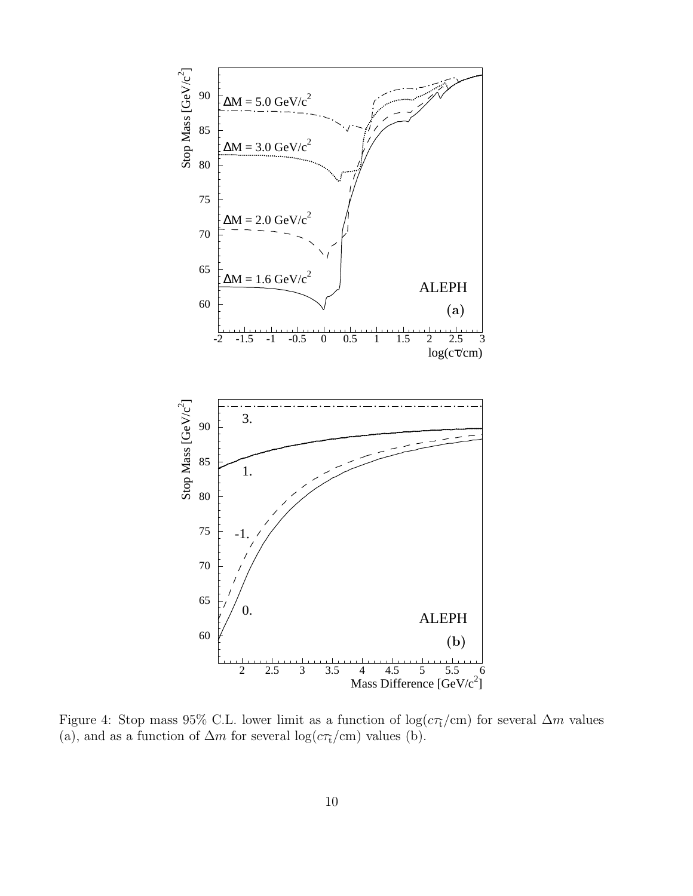

Figure 4: Stop mass 95% C.L. lower limit as a function of  $\log(c\tau_t/cm)$  for several  $\Delta m$  values (a), and as a function of  $\Delta m$  for several log( $c\tau_t/cm$ ) values (b).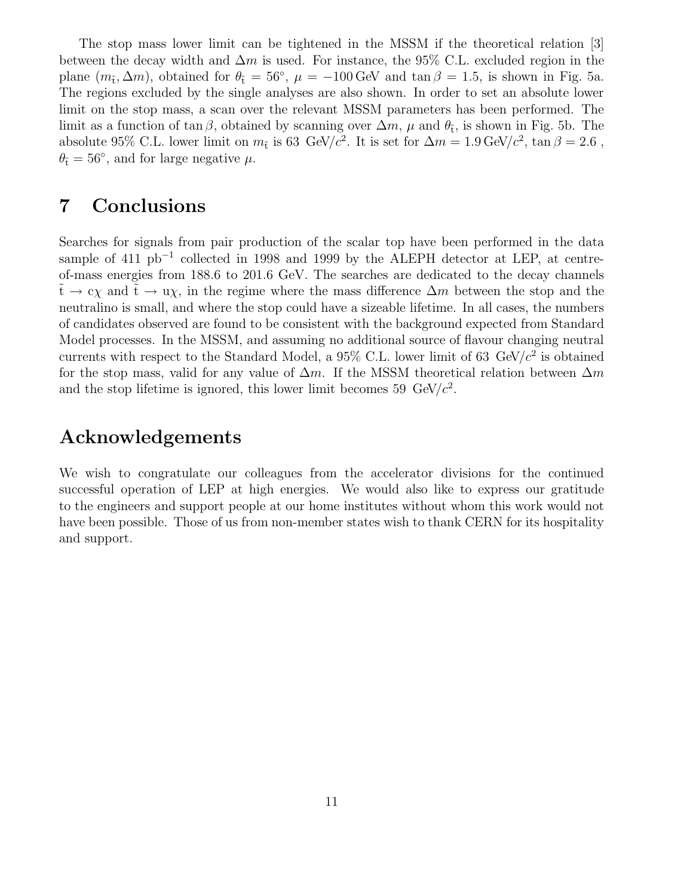The stop mass lower limit can be tightened in the MSSM if the theoretical relation [3] between the decay width and  $\Delta m$  is used. For instance, the 95% C.L. excluded region in the plane  $(m_{\tilde{t}}, \Delta m)$ , obtained for  $\theta_{\tilde{t}} = 56^{\circ}$ ,  $\mu = -100 \,\text{GeV}$  and  $\tan \beta = 1.5$ , is shown in Fig. 5a. The regions excluded by the single analyses are also shown. In order to set an absolute lower limit on the stop mass, a scan over the relevant MSSM parameters has been performed. The limit as a function of tan  $\beta$ , obtained by scanning over  $\Delta m$ ,  $\mu$  and  $\theta_{\tilde{t}}$ , is shown in Fig. 5b. The absolute 95% C.L. lower limit on  $m_{\tilde{t}}$  is 63 GeV/ $c^2$ . It is set for  $\Delta m = 1.9 \text{ GeV}/c^2$ ,  $\tan \beta = 2.6$ ,  $\theta_{\tilde{t}} = 56^{\circ}$ , and for large negative  $\mu$ .

## **7 Conclusions**

Searches for signals from pair production of the scalar top have been performed in the data sample of 411 pb<sup>-1</sup> collected in 1998 and 1999 by the ALEPH detector at LEP, at centreof-mass energies from 188.6 to 201.6 GeV. The searches are dedicated to the decay channels  $\tilde{t} \to c\chi$  and  $\tilde{t} \to u\chi$ , in the regime where the mass difference  $\Delta m$  between the stop and the neutralino is small, and where the stop could have a sizeable lifetime. In all cases, the numbers of candidates observed are found to be consistent with the background expected from Standard Model processes. In the MSSM, and assuming no additional source of flavour changing neutral currents with respect to the Standard Model, a 95% C.L. lower limit of 63  $GeV/c^2$  is obtained for the stop mass, valid for any value of  $\Delta m$ . If the MSSM theoretical relation between  $\Delta m$ and the stop lifetime is ignored, this lower limit becomes 59  $GeV/c^2$ .

### **Acknowledgements**

We wish to congratulate our colleagues from the accelerator divisions for the continued successful operation of LEP at high energies. We would also like to express our gratitude to the engineers and support people at our home institutes without whom this work would not have been possible. Those of us from non-member states wish to thank CERN for its hospitality and support.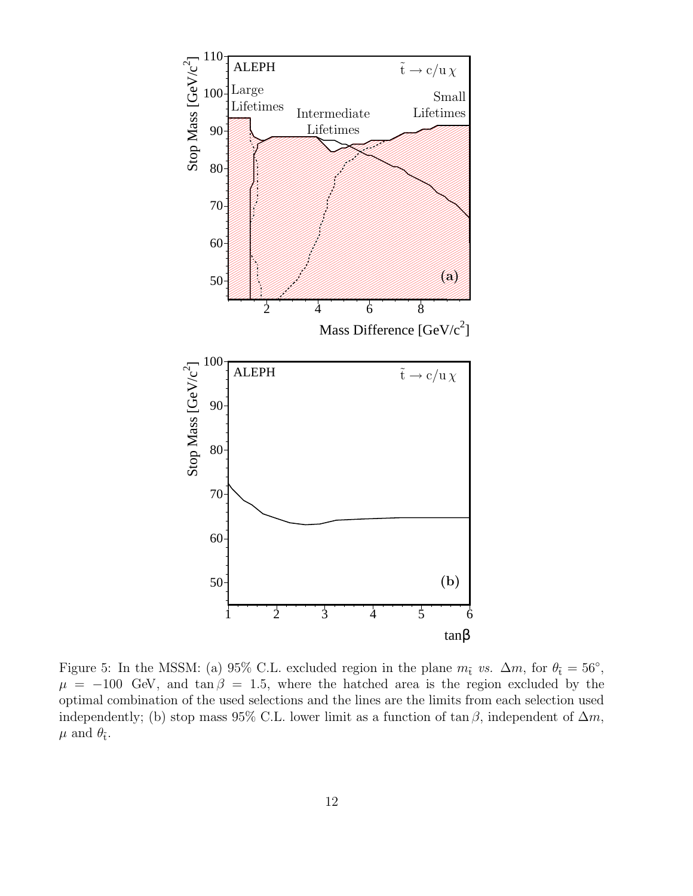

Figure 5: In the MSSM: (a) 95% C.L. excluded region in the plane  $m_t$  vs.  $\Delta m$ , for  $\theta_t = 56°$ ,  $\mu = -100$  GeV, and tan  $\beta = 1.5$ , where the hatched area is the region excluded by the optimal combination of the used selections and the lines are the limits from each selection used independently; (b) stop mass 95% C.L. lower limit as a function of  $\tan \beta$ , independent of  $\Delta m$ ,  $\mu$  and  $\theta_{\tilde{t}}$ .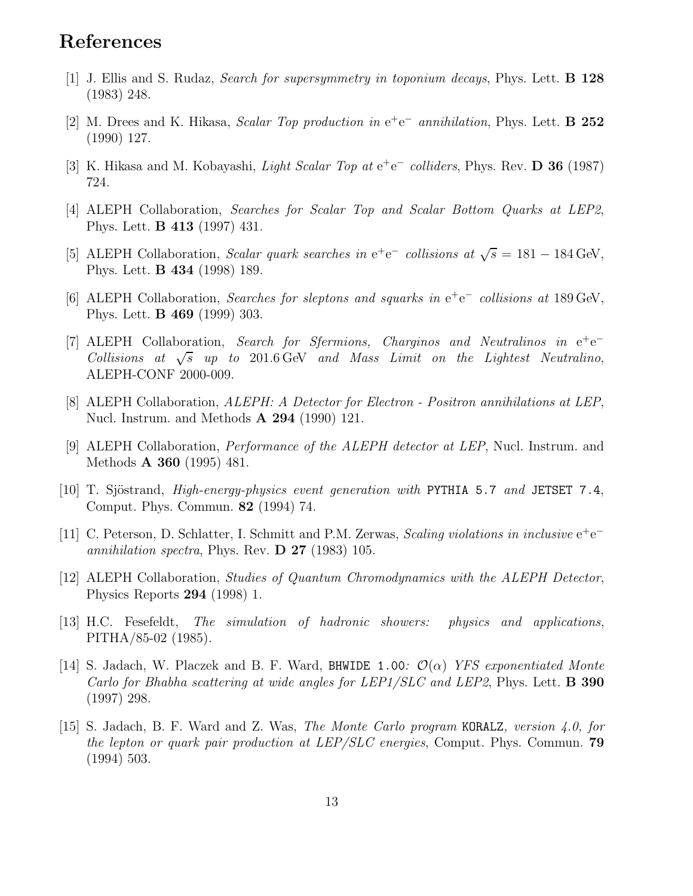### **References**

- [1] J. Ellis and S. Rudaz, Search for supersymmetry in toponium decays, Phys. Lett. **B 128** (1983) 248.
- [2] M. Drees and K. Hikasa, Scalar Top production in e<sup>+</sup>e<sup>−</sup> annihilation, Phys. Lett. **B 252** (1990) 127.
- [3] K. Hikasa and M. Kobayashi, Light Scalar Top at e<sup>+</sup>e<sup>−</sup> colliders, Phys. Rev. **D 36** (1987) 724.
- [4] ALEPH Collaboration, Searches for Scalar Top and Scalar Bottom Quarks at LEP2, Phys. Lett. **B 413** (1997) 431.
- [5] ALEPH Collaboration, Scalar quark searches in  $e^+e^-$  collisions at  $\sqrt{s} = 181 184$  GeV, Phys. Lett. **B 434** (1998) 189.
- [6] ALEPH Collaboration, Searches for sleptons and squarks in e<sup>+</sup>e<sup>−</sup> collisions at 189 GeV, Phys. Lett. **B 469** (1999) 303.
- [7] ALEPH Collaboration, Search for Sfermions, Charginos and Neutralinos in e<sup>+</sup>e<sup>−</sup> Collisions at  $\sqrt{s}$  up to 201.6 GeV and Mass Limit on the Lightest Neutralino, ALEPH-CONF 2000-009.
- [8] ALEPH Collaboration, ALEPH: A Detector for Electron Positron annihilations at LEP, Nucl. Instrum. and Methods **A 294** (1990) 121.
- [9] ALEPH Collaboration, Performance of the ALEPH detector at LEP, Nucl. Instrum. and Methods **A 360** (1995) 481.
- [10] T. Sjöstrand, *High-energy-physics event generation with* PYTHIA 5.7 and JETSET 7.4, Comput. Phys. Commun. **82** (1994) 74.
- [11] C. Peterson, D. Schlatter, I. Schmitt and P.M. Zerwas, Scaling violations in inclusive e<sup>+</sup>e<sup>−</sup> annihilation spectra, Phys. Rev. **D 27** (1983) 105.
- [12] ALEPH Collaboration, Studies of Quantum Chromodynamics with the ALEPH Detector, Physics Reports **294** (1998) 1.
- [13] H.C. Fesefeldt, The simulation of hadronic showers: physics and applications, PITHA/85-02 (1985).
- [14] S. Jadach, W. Placzek and B. F. Ward, BHWIDE 1.00:  $\mathcal{O}(\alpha)$  YFS exponentiated Monte Carlo for Bhabha scattering at wide angles for LEP1/SLC and LEP2, Phys. Lett. **B 390** (1997) 298.
- [15] S. Jadach, B. F. Ward and Z. Was, The Monte Carlo program KORALZ, version 4.0, for the lepton or quark pair production at LEP/SLC energies, Comput. Phys. Commun. **79** (1994) 503.